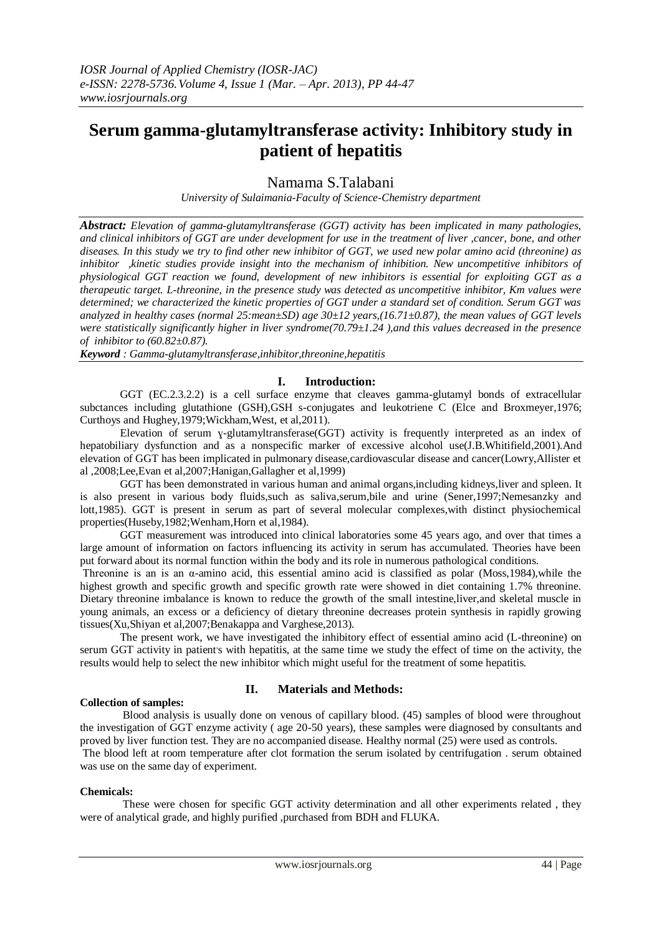# **Serum gamma-glutamyltransferase activity: Inhibitory study in patient of hepatitis**

Namama S.Talabani

*University of Sulaimania-Faculty of Science-Chemistry department*

*Abstract: Elevation of gamma-glutamyltransferase (GGT) activity has been implicated in many pathologies, and clinical inhibitors of GGT are under development for use in the treatment of liver ,cancer, bone, and other diseases. In this study we try to find other new inhibitor of GGT, we used new polar amino acid (threonine) as inhibitor ,kinetic studies provide insight into the mechanism of inhibition. New uncompetitive inhibitors of physiological GGT reaction we found, development of new inhibitors is essential for exploiting GGT as a therapeutic target. L-threonine, in the presence study was detected as uncompetitive inhibitor, Km values were determined; we characterized the kinetic properties of GGT under a standard set of condition. Serum GGT was analyzed in healthy cases (normal 25:mean±SD) age 30±12 years,(16.71±0.87), the mean values of GGT levels were statistically significantly higher in liver syndrome(70.79±1.24 ),and this values decreased in the presence of inhibitor to (60.82±0.87).* 

*Keyword : Gamma-glutamyltransferase,inhibitor,threonine,hepatitis*

# **I. Introduction:**

GGT (EC.2.3.2.2) is a cell surface enzyme that cleaves gamma-glutamyl bonds of extracellular subctances including glutathione (GSH),GSH s-conjugates and leukotriene C (Elce and Broxmeyer, 1976; Curthoys and Hughey,1979;Wickham,West, et al,2011).

Elevation of serum y-glutamyltransferase(GGT) activity is frequently interpreted as an index of hepatobiliary dysfunction and as a nonspecific marker of excessive alcohol use(J.B.Whitifield,2001).And elevation of GGT has been implicated in pulmonary disease,cardiovascular disease and cancer(Lowry,Allister et al ,2008;Lee,Evan et al,2007;Hanigan,Gallagher et al,1999)

GGT has been demonstrated in various human and animal organs,including kidneys,liver and spleen. It is also present in various body fluids, such as saliva, serum, bile and urine (Sener, 1997; Nemesanzky and lott,1985). GGT is present in serum as part of several molecular complexes,with distinct physiochemical properties(Huseby,1982;Wenham,Horn et al,1984).

GGT measurement was introduced into clinical laboratories some 45 years ago, and over that times a large amount of information on factors influencing its activity in serum has accumulated. Theories have been put forward about its normal function within the body and its role in numerous pathological conditions.

Threonine is an is an  $\alpha$ -amino acid, this essential amino acid is classified as polar (Moss, 1984), while the highest growth and specific growth and specific growth rate were showed in diet containing 1.7% threonine. Dietary threonine imbalance is known to reduce the growth of the small intestine,liver,and skeletal muscle in young animals, an excess or a deficiency of dietary threonine decreases protein synthesis in rapidly growing tissues(Xu,Shiyan et al,2007;Benakappa and Varghese,2013).

The present work, we have investigated the inhibitory effect of essential amino acid (L-threonine) on serum GGT activity in patient's with hepatitis, at the same time we study the effect of time on the activity, the results would help to select the new inhibitor which might useful for the treatment of some hepatitis.

# **Collection of samples:**

# **II. Materials and Methods:**

Blood analysis is usually done on venous of capillary blood. (45) samples of blood were throughout the investigation of GGT enzyme activity ( age 20-50 years), these samples were diagnosed by consultants and proved by liver function test. They are no accompanied disease. Healthy normal (25) were used as controls. The blood left at room temperature after clot formation the serum isolated by centrifugation . serum obtained was use on the same day of experiment.

#### **Chemicals:**

These were chosen for specific GGT activity determination and all other experiments related , they were of analytical grade, and highly purified ,purchased from BDH and FLUKA.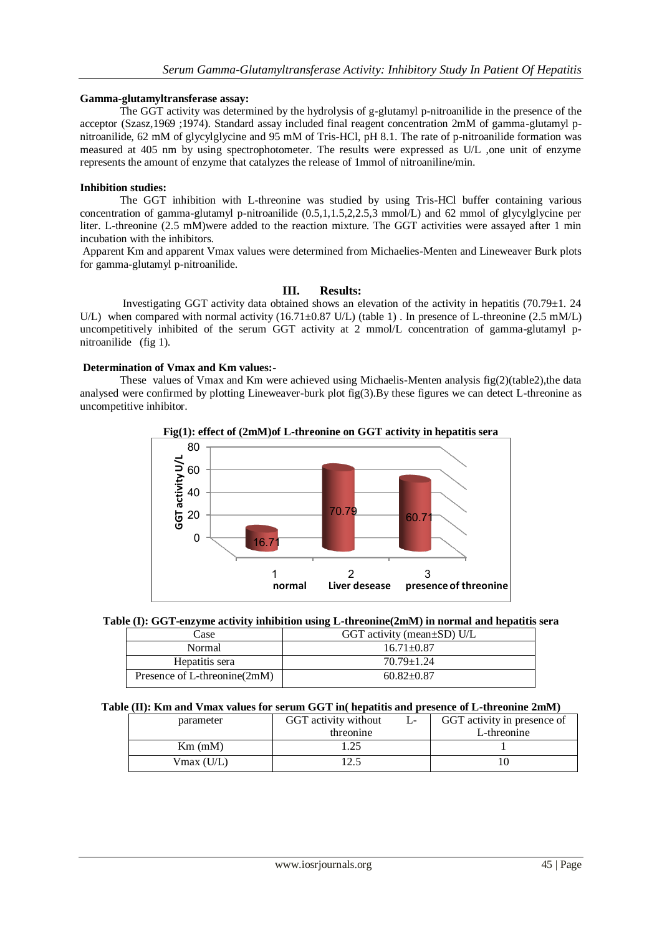#### **Gamma-glutamyltransferase assay:**

The GGT activity was determined by the hydrolysis of g-glutamyl p-nitroanilide in the presence of the acceptor (Szasz,1969 ;1974). Standard assay included final reagent concentration 2mM of gamma-glutamyl pnitroanilide, 62 mM of glycylglycine and 95 mM of Tris-HCl, pH 8.1. The rate of p-nitroanilide formation was measured at 405 nm by using spectrophotometer. The results were expressed as U/L ,one unit of enzyme represents the amount of enzyme that catalyzes the release of 1mmol of nitroaniline/min.

### **Inhibition studies:**

The GGT inhibition with L-threonine was studied by using Tris-HCl buffer containing various concentration of gamma-glutamyl p-nitroanilide (0.5,1,1.5,2,2.5,3 mmol/L) and 62 mmol of glycylglycine per liter. L-threonine (2.5 mM)were added to the reaction mixture. The GGT activities were assayed after 1 min incubation with the inhibitors.

Apparent Km and apparent Vmax values were determined from Michaelies-Menten and Lineweaver Burk plots for gamma-glutamyl p-nitroanilide.

### **III. Results:**

Investigating GGT activity data obtained shows an elevation of the activity in hepatitis (70.79±1. 24 U/L) when compared with normal activity  $(16.71\pm0.87 \text{ U/L})$  (table 1). In presence of L-threonine (2.5 mM/L) uncompetitively inhibited of the serum GGT activity at 2 mmol/L concentration of gamma-glutamyl pnitroanilide (fig 1).

### **Determination of Vmax and Km values:-**

These values of Vmax and Km were achieved using Michaelis-Menten analysis fig(2)(table2),the data analysed were confirmed by plotting Lineweaver-burk plot fig(3).By these figures we can detect L-threonine as uncompetitive inhibitor.

**Fig(1): effect of (2mM)of L-threonine on GGT activity in hepatitis sera**





| Case                         | GGT activity (mean $\pm$ SD) U/L |  |  |
|------------------------------|----------------------------------|--|--|
| Normal                       | $16.71 \pm 0.87$                 |  |  |
| Hepatitis sera               | $70.79 \pm 1.24$                 |  |  |
| Presence of L-threonine(2mM) | $60.82 \pm 0.87$                 |  |  |

# **Table (II): Km and Vmax values for serum GGT in( hepatitis and presence of L-threonine 2mM)**

| parameter     | GGT activity without | GGT activity in presence of |
|---------------|----------------------|-----------------------------|
|               | threonine            | L-threonine                 |
| $Km$ (mM)     |                      |                             |
| $V$ max (U/L) |                      |                             |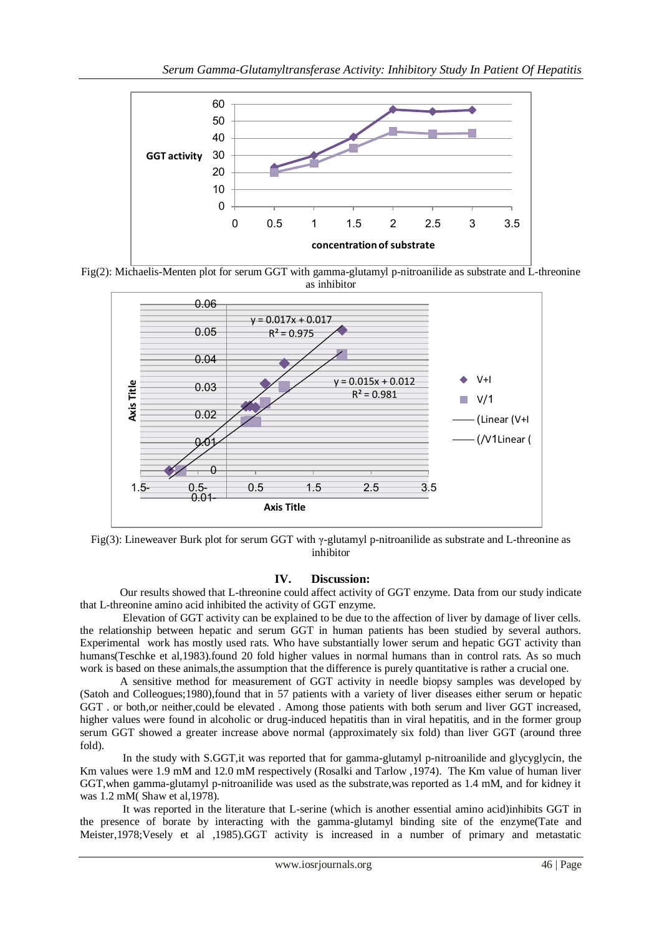

Fig(2): Michaelis-Menten plot for serum GGT with gamma-glutamyl p-nitroanilide as substrate and L-threonine as inhibitor



Fig(3): Lineweaver Burk plot for serum GGT with γ-glutamyl p-nitroanilide as substrate and L-threonine as inhibitor

# **IV. Discussion:**

Our results showed that L-threonine could affect activity of GGT enzyme. Data from our study indicate that L-threonine amino acid inhibited the activity of GGT enzyme.

Elevation of GGT activity can be explained to be due to the affection of liver by damage of liver cells. the relationship between hepatic and serum GGT in human patients has been studied by several authors. Experimental work has mostly used rats. Who have substantially lower serum and hepatic GGT activity than humans(Teschke et al,1983).found 20 fold higher values in normal humans than in control rats. As so much work is based on these animals,the assumption that the difference is purely quantitative is rather a crucial one.

A sensitive method for measurement of GGT activity in needle biopsy samples was developed by (Satoh and Colleogues;1980),found that in 57 patients with a variety of liver diseases either serum or hepatic GGT . or both,or neither,could be elevated . Among those patients with both serum and liver GGT increased, higher values were found in alcoholic or drug-induced hepatitis than in viral hepatitis, and in the former group serum GGT showed a greater increase above normal (approximately six fold) than liver GGT (around three fold).

In the study with S.GGT,it was reported that for gamma-glutamyl p-nitroanilide and glycyglycin, the Km values were 1.9 mM and 12.0 mM respectively (Rosalki and Tarlow ,1974). The Km value of human liver GGT,when gamma-glutamyl p-nitroanilide was used as the substrate,was reported as 1.4 mM, and for kidney it was 1.2 mM( Shaw et al,1978).

 It was reported in the literature that L-serine (which is another essential amino acid)inhibits GGT in the presence of borate by interacting with the gamma-glutamyl binding site of the enzyme(Tate and Meister,1978;Vesely et al ,1985).GGT activity is increased in a number of primary and metastatic